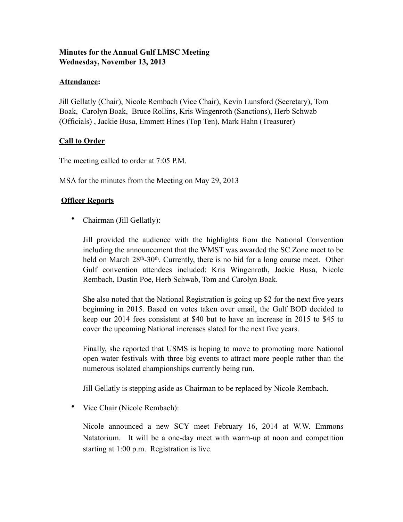# **Minutes for the Annual Gulf LMSC Meeting Wednesday, November 13, 2013**

#### **Attendance:**

Jill Gellatly (Chair), Nicole Rembach (Vice Chair), Kevin Lunsford (Secretary), Tom Boak, Carolyn Boak, Bruce Rollins, Kris Wingenroth (Sanctions), Herb Schwab (Officials) , Jackie Busa, Emmett Hines (Top Ten), Mark Hahn (Treasurer)

# **Call to Order**

The meeting called to order at 7:05 P.M.

MSA for the minutes from the Meeting on May 29, 2013

# **Officer Reports**

• Chairman (Jill Gellatly):

Jill provided the audience with the highlights from the National Convention including the announcement that the WMST was awarded the SC Zone meet to be held on March  $28<sup>th</sup> - 30<sup>th</sup>$ . Currently, there is no bid for a long course meet. Other Gulf convention attendees included: Kris Wingenroth, Jackie Busa, Nicole Rembach, Dustin Poe, Herb Schwab, Tom and Carolyn Boak.

She also noted that the National Registration is going up \$2 for the next five years beginning in 2015. Based on votes taken over email, the Gulf BOD decided to keep our 2014 fees consistent at \$40 but to have an increase in 2015 to \$45 to cover the upcoming National increases slated for the next five years.

Finally, she reported that USMS is hoping to move to promoting more National open water festivals with three big events to attract more people rather than the numerous isolated championships currently being run.

Jill Gellatly is stepping aside as Chairman to be replaced by Nicole Rembach.

• Vice Chair (Nicole Rembach):

Nicole announced a new SCY meet February 16, 2014 at W.W. Emmons Natatorium. It will be a one-day meet with warm-up at noon and competition starting at 1:00 p.m. Registration is live.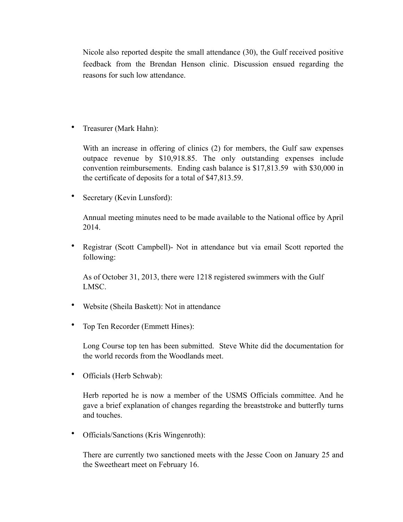Nicole also reported despite the small attendance (30), the Gulf received positive feedback from the Brendan Henson clinic. Discussion ensued regarding the reasons for such low attendance.

• Treasurer (Mark Hahn):

With an increase in offering of clinics (2) for members, the Gulf saw expenses outpace revenue by \$10,918.85. The only outstanding expenses include convention reimbursements. Ending cash balance is \$17,813.59 with \$30,000 in the certificate of deposits for a total of \$47,813.59.

• Secretary (Kevin Lunsford):

Annual meeting minutes need to be made available to the National office by April 2014.

• Registrar (Scott Campbell)- Not in attendance but via email Scott reported the following:

As of October 31, 2013, there were 1218 registered swimmers with the Gulf LMSC.

- Website (Sheila Baskett): Not in attendance
- Top Ten Recorder (Emmett Hines):

Long Course top ten has been submitted. Steve White did the documentation for the world records from the Woodlands meet.

• Officials (Herb Schwab):

Herb reported he is now a member of the USMS Officials committee. And he gave a brief explanation of changes regarding the breaststroke and butterfly turns and touches.

• Officials/Sanctions (Kris Wingenroth):

There are currently two sanctioned meets with the Jesse Coon on January 25 and the Sweetheart meet on February 16.